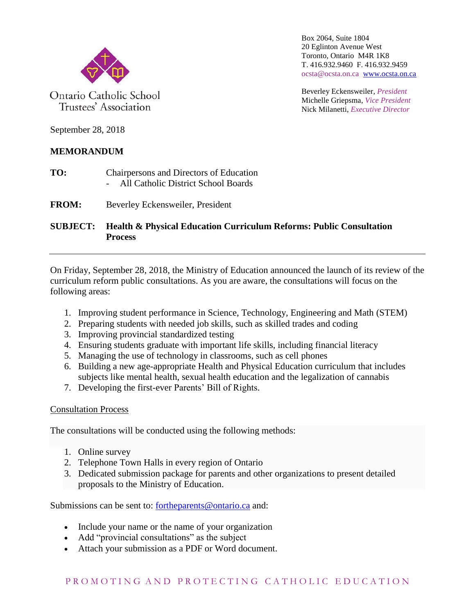

Ontario Catholic School Trustees' Association

Box 2064, Suite 1804 20 Eglinton Avenue West Toronto, Ontario M4R 1K8 T. 416.932.9460 F. 416.932.9459 ocsta@ocsta.on.ca [www.ocsta.on.ca](http://www.ocsta.on.ca/)

Beverley Eckensweiler, *President* Michelle Griepsma, *Vice President* Nick Milanetti, *Executive Director*

September 28, 2018

## **MEMORANDUM**

- **TO:** Chairpersons and Directors of Education - All Catholic District School Boards
- **FROM:** Beverley Eckensweiler, President

**SUBJECT: Health & Physical Education Curriculum Reforms: Public Consultation Process**

On Friday, September 28, 2018, the Ministry of Education announced the launch of its review of the curriculum reform public consultations. As you are aware, the consultations will focus on the following areas:

- 1. Improving student performance in [Science, Technology, Engineering and Math \(STEM\)](http://www.edu.gov.on.ca/eng/parents/min_math_strategy.html)
- 2. Preparing students with needed job skills, such as [skilled trades](http://www.edu.gov.on.ca/morestudentsuccess/SHSM.html) and coding
- 3. Improving provincial [standardized testing](http://www.eqao.com/)
- 4. Ensuring students graduate with important life skills, including [financial literacy](http://www.edu.gov.on.ca/eng/parents/financial.html)
- 5. Managing the use of technology in classrooms, such as cell phones
- 6. Building a new age-appropriate [Health and Physical Education curriculum](http://www.edu.gov.on.ca/eng/curriculum/elementary/health.html) that includes subjects like mental health, sexual health education and the legalization of cannabis
- 7. Developing the first-ever [Parents' Bill of Rights.](https://news.ontario.ca/opo/en/2018/08/ontarios-government-for-the-people-respecting-parents-by-holding-unprecedented-consultation-into-education-reform.html)

## Consultation Process

The consultations will be conducted using the following methods:

- 1. Online survey
- 2. Telephone Town Halls in every region of Ontario
- 3. Dedicated submission package for parents and other organizations to present detailed proposals to the Ministry of Education.

Submissions can be sent to: [fortheparents@ontario.ca](mailto:fortheparents@ontario.ca) and:

- Include your name or the name of your organization
- Add "provincial consultations" as the subject
- Attach your submission as a PDF or Word document.